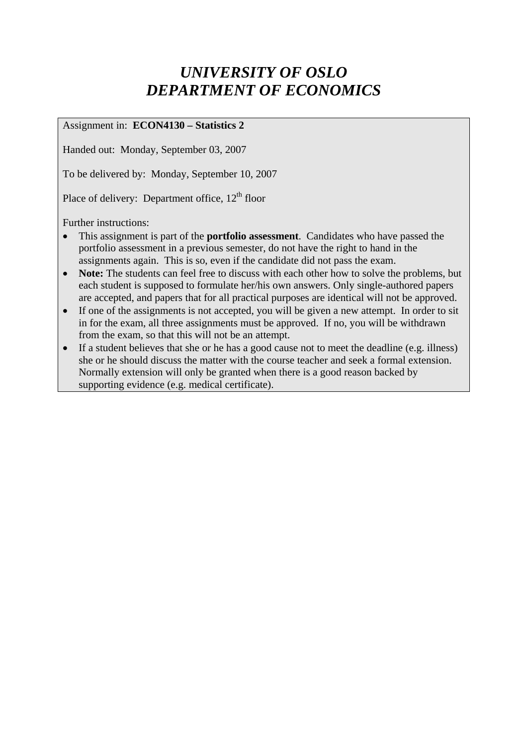# *UNIVERSITY OF OSLO DEPARTMENT OF ECONOMICS*

### Assignment in: **ECON4130 – Statistics 2**

Handed out: Monday, September 03, 2007

To be delivered by: Monday, September 10, 2007

Place of delivery: Department office,  $12<sup>th</sup>$  floor

Further instructions:

- This assignment is part of the **portfolio assessment**. Candidates who have passed the portfolio assessment in a previous semester, do not have the right to hand in the assignments again. This is so, even if the candidate did not pass the exam.
- **Note:** The students can feel free to discuss with each other how to solve the problems, but each student is supposed to formulate her/his own answers. Only single-authored papers are accepted, and papers that for all practical purposes are identical will not be approved.
- If one of the assignments is not accepted, you will be given a new attempt. In order to sit in for the exam, all three assignments must be approved. If no, you will be withdrawn from the exam, so that this will not be an attempt.
- If a student believes that she or he has a good cause not to meet the deadline (e.g. illness) she or he should discuss the matter with the course teacher and seek a formal extension. Normally extension will only be granted when there is a good reason backed by supporting evidence (e.g. medical certificate).